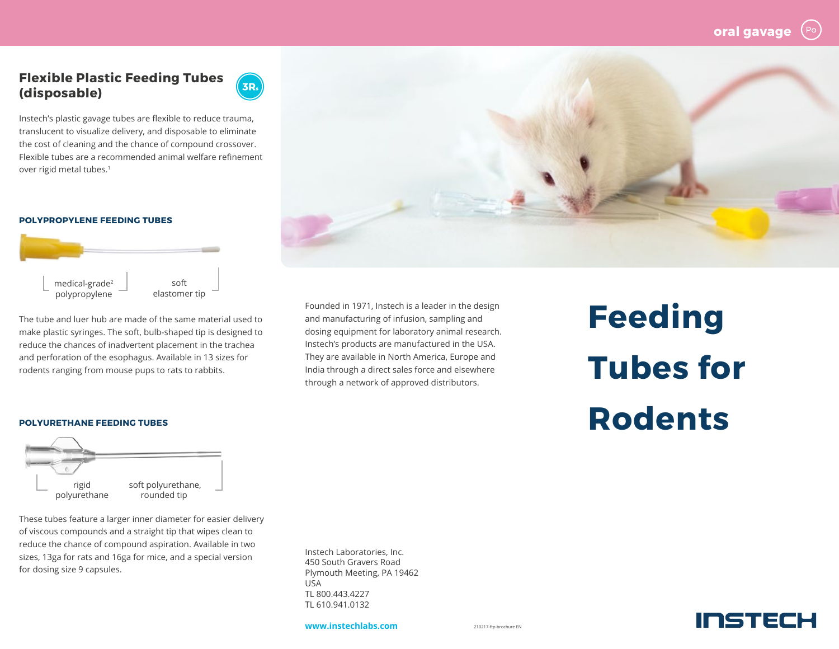INSTECH

## **Flexible Plastic Feeding Tubes (disposable)**



Instech's plastic gavage tubes are flexible to reduce trauma, translucent to visualize delivery, and disposable to eliminate the cost of cleaning and the chance of compound crossover. Flexible tubes are a recommended animal welfare refinement over rigid metal tubes.<sup>1</sup>

## **POLYPROPYLENE FEEDING TUBES**



The tube and luer hub are made of the same material used to make plastic syringes. The soft, bulb-shaped tip is designed to reduce the chances of inadvertent placement in the trachea and perforation of the esophagus. Available in 13 sizes for rodents ranging from mouse pups to rats to rabbits.



Founded in 1971, Instech is a leader in the design and manufacturing of infusion, sampling and dosing equipment for laboratory animal research. Instech's products are manufactured in the USA. They are available in North America, Europe and India through a direct sales force and elsewhere through a network of approved distributors.

**Feeding Tubes for**  POLYURETHANE FEEDING TUBES **Rodents** 



These tubes feature a larger inner diameter for easier delivery of viscous compounds and a straight tip that wipes clean to reduce the chance of compound aspiration. Available in two sizes, 13ga for rats and 16ga for mice, and a special version for dosing size 9 capsules.

Instech Laboratories, Inc. 450 South Gravers Road Plymouth Meeting, PA 19462 USA TL 800.443.4227 TL 610.941.0132

**www.instechlabs.com**